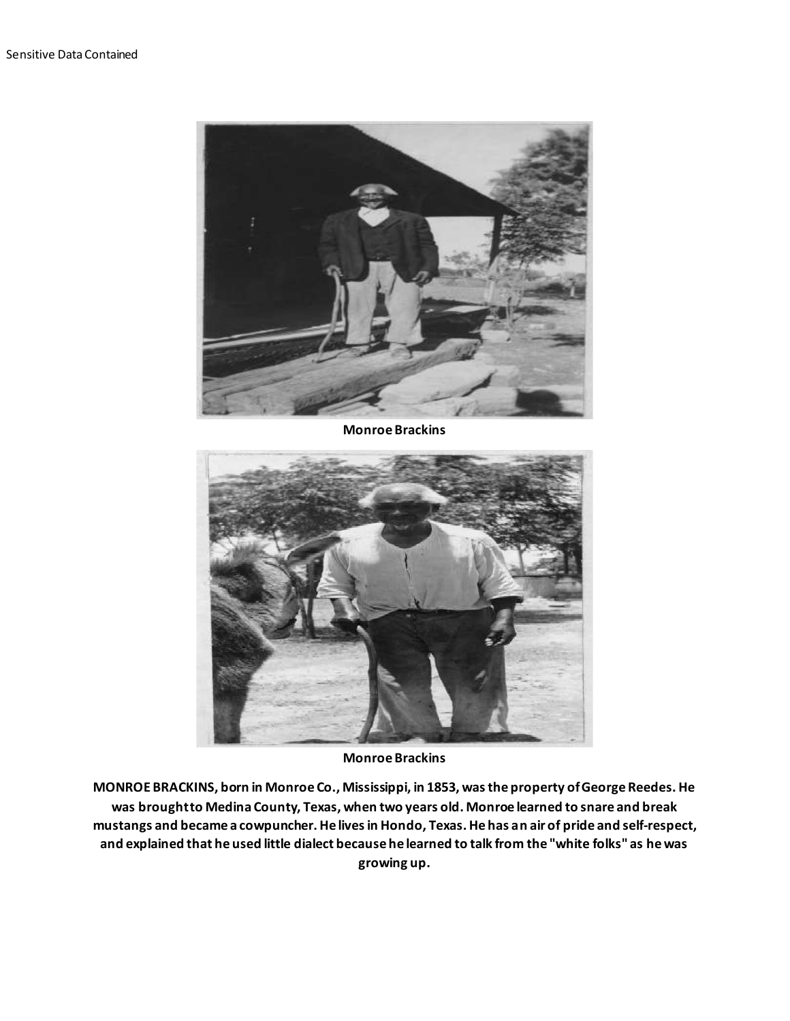

**Monroe Brackins**



**Monroe Brackins**

**MONROE BRACKINS, born in Monroe Co., Mississippi, in 1853, was the property of George Reedes. He was brought to Medina County, Texas, when two years old. Monroe learned to snare and break mustangs and became a cowpuncher. He lives in Hondo, Texas. He has an air of pride and self-respect, and explained that he used little dialect because he learned to talk from the "white folks" as he was growing up.**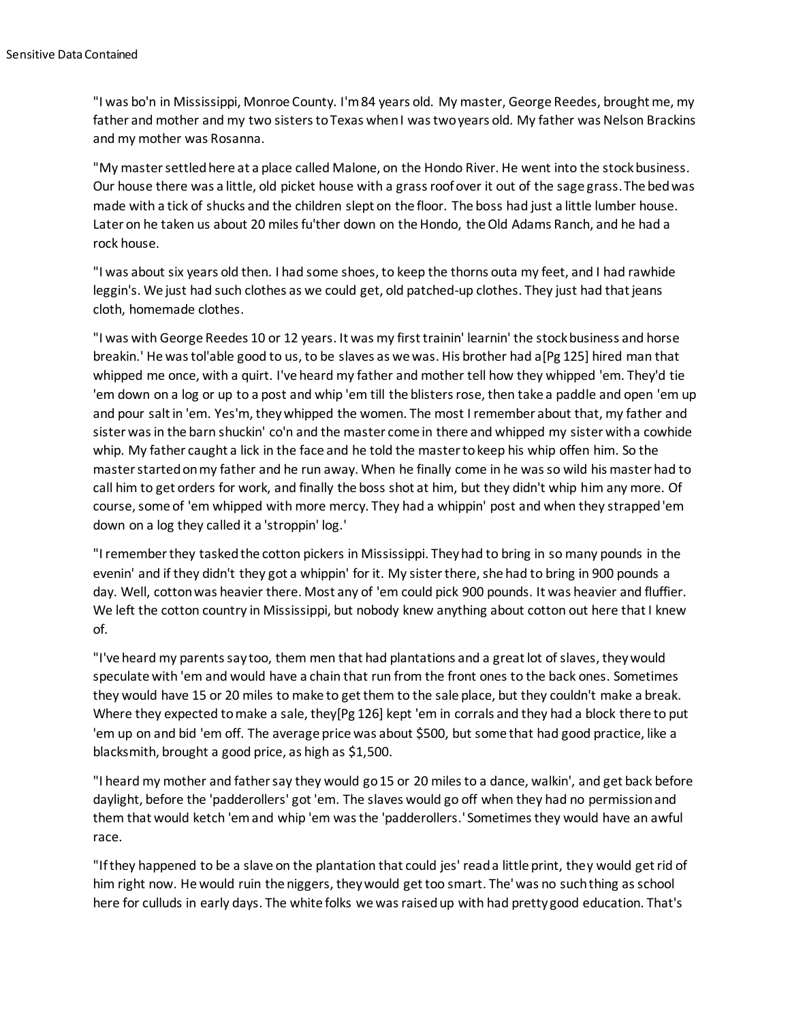"I was bo'n in Mississippi, Monroe County. I'm 84 years old. My master, George Reedes, brought me, my father and mother and my two sisters to Texas when I was two years old. My father was Nelson Brackins and my mother was Rosanna.

"My master settled here at a place called Malone, on the Hondo River. He went into the stock business. Our house there was a little, old picket house with a grass roof over it out of the sage grass. The bed was made with a tick of shucks and the children slept on the floor. The boss had just a little lumber house. Later on he taken us about 20 miles fu'ther down on the Hondo, the Old Adams Ranch, and he had a rock house.

"I was about six years old then. I had some shoes, to keep the thorns outa my feet, and I had rawhide leggin's. We just had such clothes as we could get, old patched-up clothes. They just had that jeans cloth, homemade clothes.

"I was with George Reedes 10 or 12 years. It was my first trainin' learnin' the stock business and horse breakin.' He was tol'able good to us, to be slaves as we was. His brother had a[Pg 125] hired man that whipped me once, with a quirt. I've heard my father and mother tell how they whipped 'em. They'd tie 'em down on a log or up to a post and whip 'em till the blisters rose, then take a paddle and open 'em up and pour salt in 'em. Yes'm, they whipped the women. The most I remember about that, my father and sister was in the barn shuckin' co'n and the master come in there and whipped my sister with a cowhide whip. My father caught a lick in the face and he told the master to keep his whip offen him. So the master started on my father and he run away. When he finally come in he was so wild his master had to call him to get orders for work, and finally the boss shot at him, but they didn't whip him any more. Of course, some of 'em whipped with more mercy. They had a whippin' post and when they strapped 'em down on a log they called it a 'stroppin' log.'

"I remember they tasked the cotton pickers in Mississippi. They had to bring in so many pounds in the evenin' and if they didn't they got a whippin' for it. My sister there, she had to bring in 900 pounds a day. Well, cotton was heavier there. Most any of 'em could pick 900 pounds. It was heavier and fluffier. We left the cotton country in Mississippi, but nobody knew anything about cotton out here that I knew of.

"I've heard my parents say too, them men that had plantations and a great lot of slaves, they would speculate with 'em and would have a chain that run from the front ones to the back ones. Sometimes they would have 15 or 20 miles to make to get them to the sale place, but they couldn't make a break. Where they expected to make a sale, they[Pg 126] kept 'em in corrals and they had a block there to put 'em up on and bid 'em off. The average price was about \$500, but some that had good practice, like a blacksmith, brought a good price, as high as \$1,500.

"I heard my mother and father say they would go 15 or 20 miles to a dance, walkin', and get back before daylight, before the 'padderollers' got 'em. The slaves would go off when they had no permission and them that would ketch 'em and whip 'em was the 'padderollers.' Sometimes they would have an awful race.

"If they happened to be a slave on the plantation that could jes' read a little print, they would get rid of him right now. He would ruin the niggers, they would get too smart. The' was no such thing as school here for culluds in early days. The white folks we was raised up with had pretty good education. That's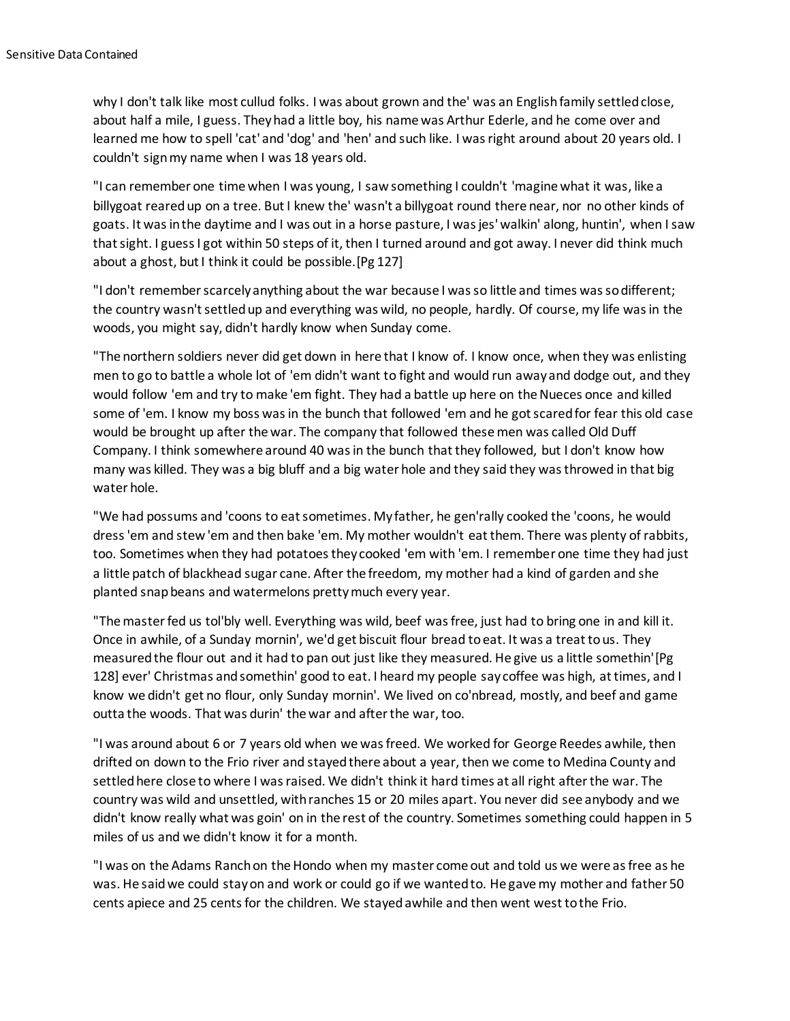why I don't talk like most cullud folks. I was about grown and the' was an English family settled close, about half a mile, I guess. They had a little boy, his name was Arthur Ederle, and he come over and learned me how to spell 'cat' and 'dog' and 'hen' and such like. I was right around about 20 years old. I couldn't sign my name when I was 18 years old.

"I can remember one time when I was young, I saw something I couldn't 'magine what it was, like a billygoat reared up on a tree. But I knew the' wasn't a billygoat round there near, nor no other kinds of goats. It was in the daytime and I was out in a horse pasture, I was jes' walkin' along, huntin', when I saw that sight. I guess I got within 50 steps of it, then I turned around and got away. I never did think much about a ghost, but I think it could be possible.[Pg 127]

"I don't remember scarcely anything about the war because I was so little and times was so different; the country wasn't settled up and everything was wild, no people, hardly. Of course, my life was in the woods, you might say, didn't hardly know when Sunday come.

"The northern soldiers never did get down in here that I know of. I know once, when they was enlisting men to go to battle a whole lot of 'em didn't want to fight and would run away and dodge out, and they would follow 'em and try to make 'em fight. They had a battle up here on the Nueces once and killed some of 'em. I know my boss was in the bunch that followed 'em and he got scared for fear this old case would be brought up after the war. The company that followed these men was called Old Duff Company. I think somewhere around 40 was in the bunch that they followed, but I don't know how many was killed. They was a big bluff and a big water hole and they said they was throwed in that big water hole.

"We had possums and 'coons to eat sometimes. My father, he gen'rally cooked the 'coons, he would dress 'em and stew 'em and then bake 'em. My mother wouldn't eat them. There was plenty of rabbits, too. Sometimes when they had potatoes they cooked 'em with 'em. I remember one time they had just a little patch of blackhead sugar cane. After the freedom, my mother had a kind of garden and she planted snap beans and watermelons pretty much every year.

"The master fed us tol'bly well. Everything was wild, beef was free, just had to bring one in and kill it. Once in awhile, of a Sunday mornin', we'd get biscuit flour bread to eat. It was a treat to us. They measured the flour out and it had to pan out just like they measured. He give us a little somethin'[Pg 128] ever' Christmas and somethin' good to eat. I heard my people say coffee was high, at times, and I know we didn't get no flour, only Sunday mornin'. We lived on co'nbread, mostly, and beef and game outta the woods. That was durin' the war and after the war, too.

"I was around about 6 or 7 years old when we was freed. We worked for George Reedes awhile, then drifted on down to the Frio river and stayed there about a year, then we come to Medina County and settled here close to where I was raised. We didn't think it hard times at all right after the war. The country was wild and unsettled, with ranches 15 or 20 miles apart. You never did see anybody and we didn't know really what was goin' on in the rest of the country. Sometimes something could happen in 5 miles of us and we didn't know it for a month.

"I was on the Adams Ranch on the Hondo when my master come out and told us we were as free as he was. He said we could stay on and work or could go if we wanted to. He gave my mother and father 50 cents apiece and 25 cents for the children. We stayed awhile and then went west to the Frio.